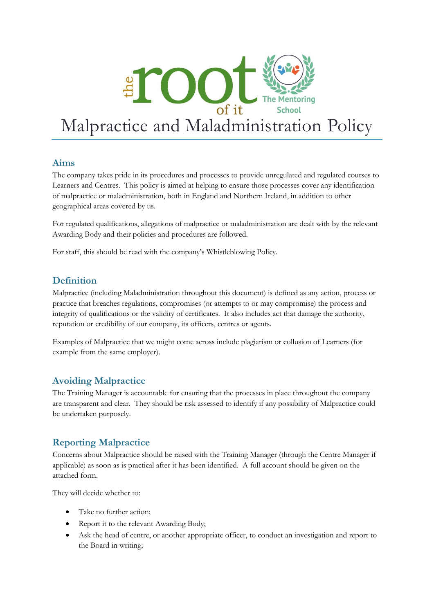

# **Aims**

The company takes pride in its procedures and processes to provide unregulated and regulated courses to Learners and Centres. This policy is aimed at helping to ensure those processes cover any identification of malpractice or maladministration, both in England and Northern Ireland, in addition to other geographical areas covered by us.

For regulated qualifications, allegations of malpractice or maladministration are dealt with by the relevant Awarding Body and their policies and procedures are followed.

For staff, this should be read with the company's Whistleblowing Policy.

# **Definition**

Malpractice (including Maladministration throughout this document) is defined as any action, process or practice that breaches regulations, compromises (or attempts to or may compromise) the process and integrity of qualifications or the validity of certificates. It also includes act that damage the authority, reputation or credibility of our company, its officers, centres or agents.

Examples of Malpractice that we might come across include plagiarism or collusion of Learners (for example from the same employer).

# **Avoiding Malpractice**

The Training Manager is accountable for ensuring that the processes in place throughout the company are transparent and clear. They should be risk assessed to identify if any possibility of Malpractice could be undertaken purposely.

# **Reporting Malpractice**

Concerns about Malpractice should be raised with the Training Manager (through the Centre Manager if applicable) as soon as is practical after it has been identified. A full account should be given on the attached form.

They will decide whether to:

- Take no further action:
- Report it to the relevant Awarding Body;
- Ask the head of centre, or another appropriate officer, to conduct an investigation and report to the Board in writing;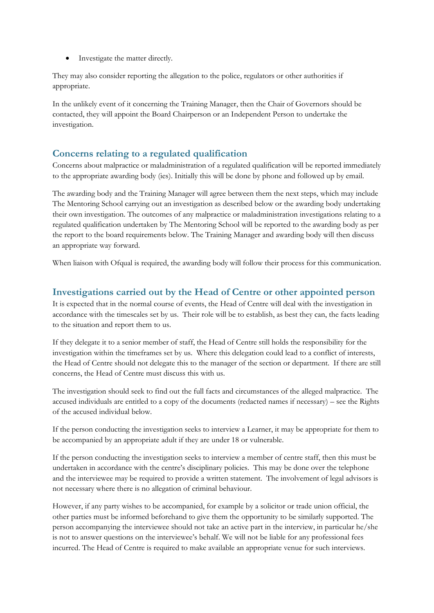• Investigate the matter directly.

They may also consider reporting the allegation to the police, regulators or other authorities if appropriate.

In the unlikely event of it concerning the Training Manager, then the Chair of Governors should be contacted, they will appoint the Board Chairperson or an Independent Person to undertake the investigation.

#### **Concerns relating to a regulated qualification**

Concerns about malpractice or maladministration of a regulated qualification will be reported immediately to the appropriate awarding body (ies). Initially this will be done by phone and followed up by email.

The awarding body and the Training Manager will agree between them the next steps, which may include The Mentoring School carrying out an investigation as described below or the awarding body undertaking their own investigation. The outcomes of any malpractice or maladministration investigations relating to a regulated qualification undertaken by The Mentoring School will be reported to the awarding body as per the report to the board requirements below. The Training Manager and awarding body will then discuss an appropriate way forward.

When liaison with Ofqual is required, the awarding body will follow their process for this communication.

#### **Investigations carried out by the Head of Centre or other appointed person**

It is expected that in the normal course of events, the Head of Centre will deal with the investigation in accordance with the timescales set by us. Their role will be to establish, as best they can, the facts leading to the situation and report them to us.

If they delegate it to a senior member of staff, the Head of Centre still holds the responsibility for the investigation within the timeframes set by us. Where this delegation could lead to a conflict of interests, the Head of Centre should not delegate this to the manager of the section or department. If there are still concerns, the Head of Centre must discuss this with us.

The investigation should seek to find out the full facts and circumstances of the alleged malpractice. The accused individuals are entitled to a copy of the documents (redacted names if necessary) – see the Rights of the accused individual below.

If the person conducting the investigation seeks to interview a Learner, it may be appropriate for them to be accompanied by an appropriate adult if they are under 18 or vulnerable.

If the person conducting the investigation seeks to interview a member of centre staff, then this must be undertaken in accordance with the centre's disciplinary policies. This may be done over the telephone and the interviewee may be required to provide a written statement. The involvement of legal advisors is not necessary where there is no allegation of criminal behaviour.

However, if any party wishes to be accompanied, for example by a solicitor or trade union official, the other parties must be informed beforehand to give them the opportunity to be similarly supported. The person accompanying the interviewee should not take an active part in the interview, in particular he/she is not to answer questions on the interviewee's behalf. We will not be liable for any professional fees incurred. The Head of Centre is required to make available an appropriate venue for such interviews.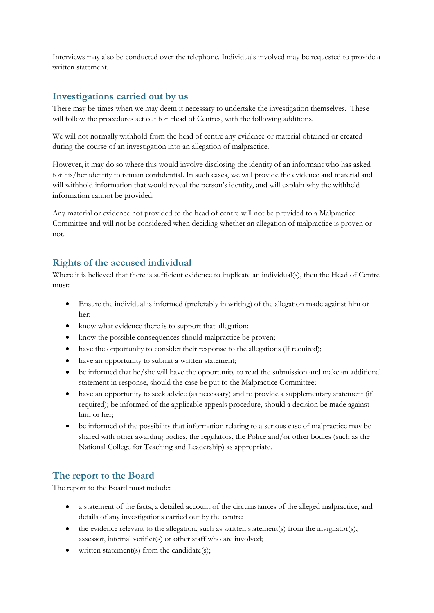Interviews may also be conducted over the telephone. Individuals involved may be requested to provide a written statement.

# **Investigations carried out by us**

There may be times when we may deem it necessary to undertake the investigation themselves. These will follow the procedures set out for Head of Centres, with the following additions.

We will not normally withhold from the head of centre any evidence or material obtained or created during the course of an investigation into an allegation of malpractice.

However, it may do so where this would involve disclosing the identity of an informant who has asked for his/her identity to remain confidential. In such cases, we will provide the evidence and material and will withhold information that would reveal the person's identity, and will explain why the withheld information cannot be provided.

Any material or evidence not provided to the head of centre will not be provided to a Malpractice Committee and will not be considered when deciding whether an allegation of malpractice is proven or not.

#### **Rights of the accused individual**

Where it is believed that there is sufficient evidence to implicate an individual(s), then the Head of Centre must:

- Ensure the individual is informed (preferably in writing) of the allegation made against him or her;
- know what evidence there is to support that allegation;
- know the possible consequences should malpractice be proven;
- have the opportunity to consider their response to the allegations (if required);
- have an opportunity to submit a written statement;
- be informed that he/she will have the opportunity to read the submission and make an additional statement in response, should the case be put to the Malpractice Committee;
- have an opportunity to seek advice (as necessary) and to provide a supplementary statement (if required); be informed of the applicable appeals procedure, should a decision be made against him or her;
- be informed of the possibility that information relating to a serious case of malpractice may be shared with other awarding bodies, the regulators, the Police and/or other bodies (such as the National College for Teaching and Leadership) as appropriate.

# **The report to the Board**

The report to the Board must include:

- a statement of the facts, a detailed account of the circumstances of the alleged malpractice, and details of any investigations carried out by the centre;
- $\bullet$  the evidence relevant to the allegation, such as written statement(s) from the invigilator(s), assessor, internal verifier(s) or other staff who are involved;
- written statement(s) from the candidate(s);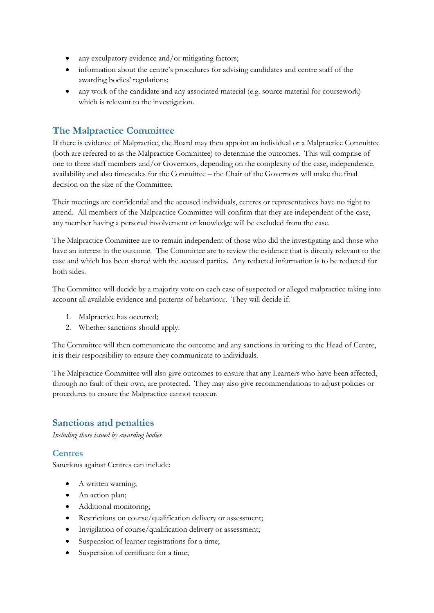- any exculpatory evidence and/or mitigating factors;
- information about the centre's procedures for advising candidates and centre staff of the awarding bodies' regulations;
- any work of the candidate and any associated material (e.g. source material for coursework) which is relevant to the investigation.

#### **The Malpractice Committee**

If there is evidence of Malpractice, the Board may then appoint an individual or a Malpractice Committee (both are referred to as the Malpractice Committee) to determine the outcomes. This will comprise of one to three staff members and/or Governors, depending on the complexity of the case, independence, availability and also timescales for the Committee – the Chair of the Governors will make the final decision on the size of the Committee.

Their meetings are confidential and the accused individuals, centres or representatives have no right to attend. All members of the Malpractice Committee will confirm that they are independent of the case, any member having a personal involvement or knowledge will be excluded from the case.

The Malpractice Committee are to remain independent of those who did the investigating and those who have an interest in the outcome. The Committee are to review the evidence that is directly relevant to the case and which has been shared with the accused parties. Any redacted information is to be redacted for both sides.

The Committee will decide by a majority vote on each case of suspected or alleged malpractice taking into account all available evidence and patterns of behaviour. They will decide if:

- 1. Malpractice has occurred;
- 2. Whether sanctions should apply.

The Committee will then communicate the outcome and any sanctions in writing to the Head of Centre, it is their responsibility to ensure they communicate to individuals.

The Malpractice Committee will also give outcomes to ensure that any Learners who have been affected, through no fault of their own, are protected. They may also give recommendations to adjust policies or procedures to ensure the Malpractice cannot reoccur.

#### **Sanctions and penalties**

*Including those issued by awarding bodies*

#### **Centres**

Sanctions against Centres can include:

- A written warning;
- An action plan;
- Additional monitoring;
- Restrictions on course/qualification delivery or assessment;
- Invigilation of course/qualification delivery or assessment;
- Suspension of learner registrations for a time;
- Suspension of certificate for a time;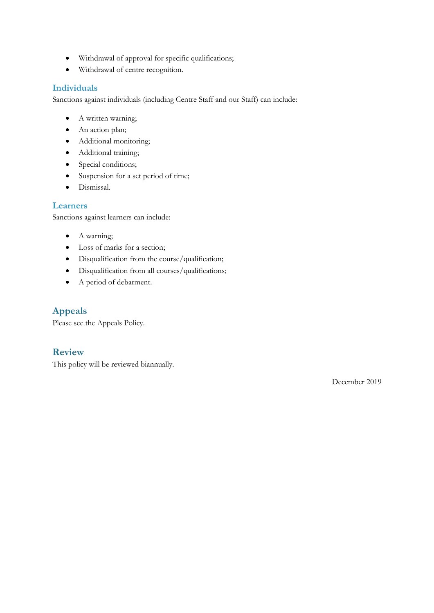- Withdrawal of approval for specific qualifications;
- Withdrawal of centre recognition.

#### **Individuals**

Sanctions against individuals (including Centre Staff and our Staff) can include:

- A written warning;
- An action plan;
- Additional monitoring;
- Additional training;
- Special conditions;
- Suspension for a set period of time;
- Dismissal.

#### **Learners**

Sanctions against learners can include:

- A warning;
- Loss of marks for a section;
- Disqualification from the course/qualification;
- Disqualification from all courses/qualifications;
- A period of debarment.

# **Appeals**

Please see the Appeals Policy.

# **Review**

This policy will be reviewed biannually.

December 2019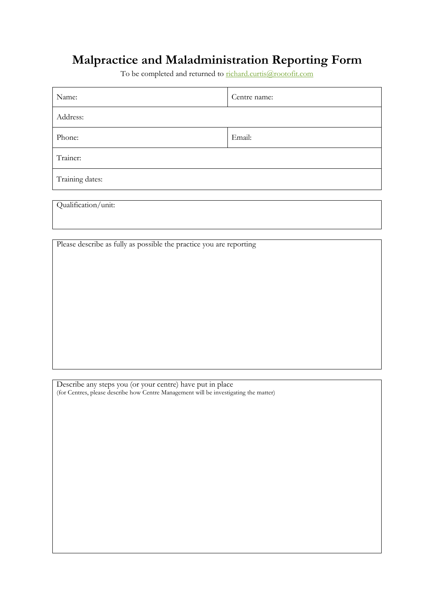# **Malpractice and Maladministration Reporting Form**

To be completed and returned to [richard.curtis@rootofit.com](mailto:richard.curtis@rootofit.com)

| Name:                                                               | Centre name: |
|---------------------------------------------------------------------|--------------|
| Address:                                                            |              |
| Phone:                                                              | Email:       |
| Trainer:                                                            |              |
| Training dates:                                                     |              |
|                                                                     |              |
| Qualification/unit:                                                 |              |
|                                                                     |              |
|                                                                     |              |
| Please describe as fully as possible the practice you are reporting |              |
|                                                                     |              |
|                                                                     |              |
|                                                                     |              |

Describe any steps you (or your centre) have put in place (for Centres, please describe how Centre Management will be investigating the matter)